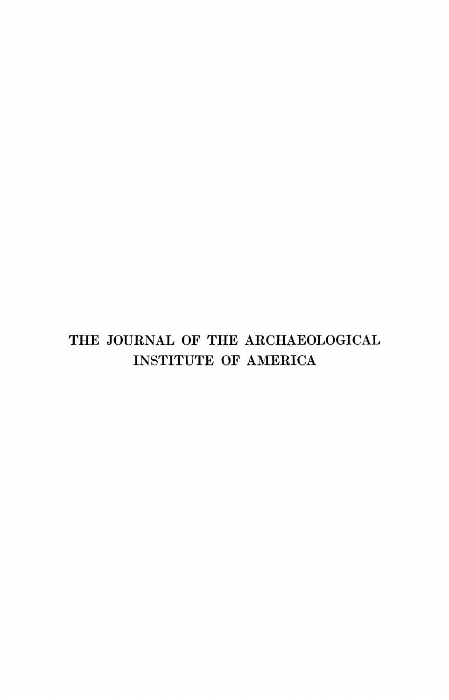# **THE JOURNAL OF THE ARCHAEOLOGICAL INSTITUTE OF AMERICA**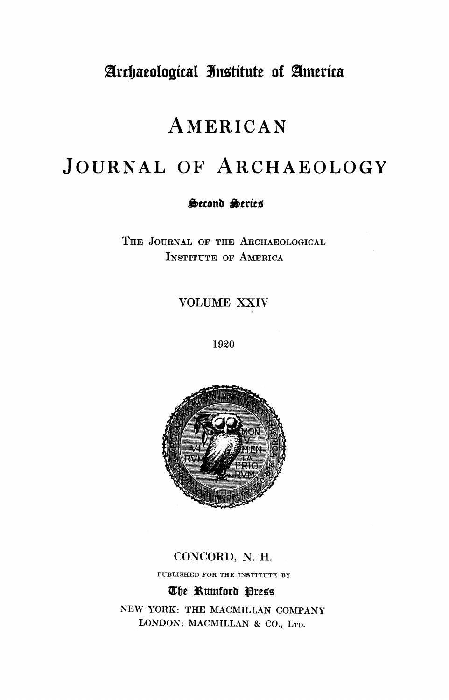# **%rcdjaeologicat 3Jntitute of america**

# **AMERICAN**

# **JOURNAL OF ARCHAEOLOGY**

### **'wconb teries**

**THE JOURNAL OF THE ARCHAEOLOGICAL INSTITUTE OF AMERICA** 

**VOLUME XXIV** 

**1920** 



### **CONCORD, N. H.**

**PUBLISHED FOR THE INSTITUTE BY** 

### **Cfe tumforb Sre•**

**NEW YORK: THE MACMILLAN COMPANY LONDON: MACMILLAN & CO., LTD.**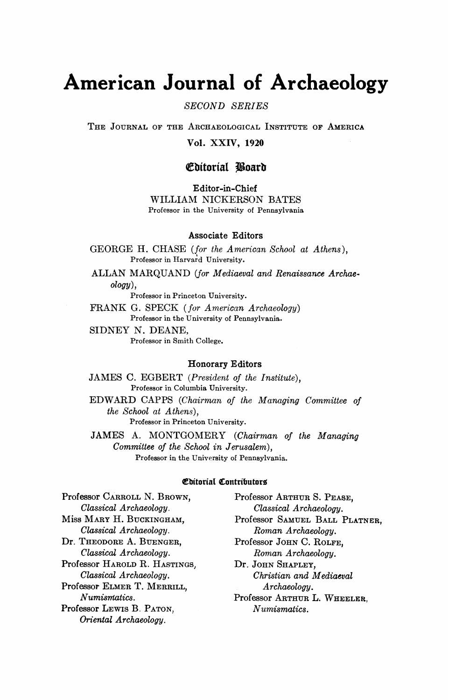# **American Journal of Archaeology**

**SECOND SERIES** 

**THE JOURNAL OF THE ARCHAEOLOGICAL INSTITUTE OF AMERICA** 

**Vol. XXIV, 1920** 

### **tbitorial Joarb**

**Editor-in-Chief** 

**WILLIAM NICKERSON BATES Professor in the University of Pennsylvania** 

#### **Associate Editors**

**GEORGE H. CHASE (for the American School at Athens), Professor in Harvard University.** 

**ALLAN MARQUAND (for Mediaeval and Renaissance Archaeology),** 

**Professor in Princeton University.** 

**FRANK G. SPECK (for American Archaeology) Professor in the University of Pennsylvania.** 

**SIDNEY N. DEANE, Professor in Smith College.** 

#### **Honorary Editors**

**JAMES C. EGBERT (President of the Institute), Professor in Columbia University.** 

**EDWARD CAPPS (Chairman of the Managing Committee of the School at Athens),** 

**Professor in Princeton University.** 

**JAMES A. MONTGOMERY (Chairman of the Managing Committee of the School in Jerusalem), Professor in the University of Pennsylvania.** 

#### **CbitoriaI Contributors**

**Professor CARROLL N. BROWN,** Professor ARTHUR S. PEASE, Classical Archaeology. Classical Archaeology. **Classical Archaeology. Classical Archaeology.**  Classical Archaeology. **Roman Archaeology.**<br> **Dr. THEODORE A. BUENGER, Professor JOHN C. ROLFI Classical Archaeology. Roman Archaeology. Professor HAROLD R. HASTINGS,**<br>Classical Archaeology. Professor ELMER T. MERRILL,<br>Numismatics. **Professor LEWIS B. PATON. Oriental Archaeology.** 

**Miss MARY H. BUCKINGHAM, Professor SAMUEL BALL PLATNER,**   $\frac{1}{B}$ Professor John C. Rolfe,<br> *Roman Archaeology* **Classical Archaeology. Christian and Mediaeval**  Professor ARTHUR L. WHEELER, *Numismatics*.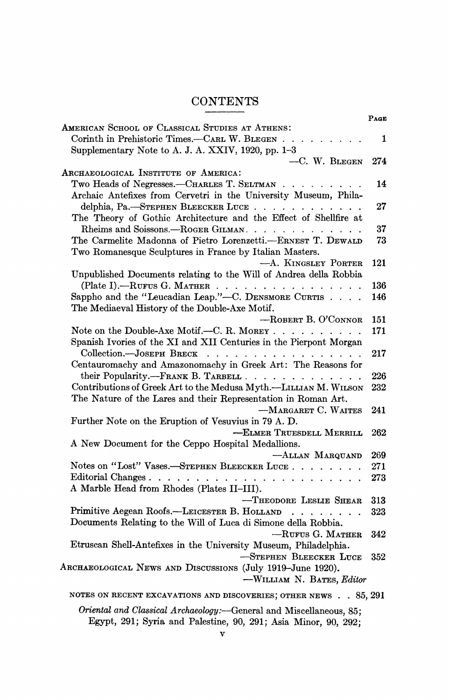# **CONTENTS**

|                                                                                                | PAGE |
|------------------------------------------------------------------------------------------------|------|
| AMERICAN SCHOOL OF CLASSICAL STUDIES AT ATHENS:                                                |      |
| Corinth in Prehistoric Times.-CARL W. BLEGEN<br>$\mathbf{1}$ and $\mathbf{1}$ and $\mathbf{1}$ | 1    |
| Supplementary Note to A. J. A. XXIV, 1920, pp. 1-3                                             |      |
| $-C. W. BLEGEN$                                                                                | 274  |
| ARCHAEOLOGICAL INSTITUTE OF AMERICA:                                                           |      |
| Two Heads of Negresses.—CHARLES T. SELTMAN                                                     | 14   |
| Archaic Antefixes from Cervetri in the University Museum, Phila-                               |      |
| delphia, Pa. -- STEPHEN BLEECKER LUCE                                                          | 27   |
| The Theory of Gothic Architecture and the Effect of Shellfire at                               |      |
| Rheims and Soissons.—ROGER GILMAN                                                              | 37   |
| The Carmelite Madonna of Pietro Lorenzetti.-ERNEST T. DEWALD                                   | 73   |
| Two Romanesque Sculptures in France by Italian Masters.                                        |      |
| -A. KINGSLEY PORTER                                                                            | 121  |
| Unpublished Documents relating to the Will of Andrea della Robbia                              |      |
| (Plate I).--RUFUS G. MATHER                                                                    | 136  |
| Sappho and the "Leucadian Leap."--C. DENSMORE CURTIS                                           | 146  |
| The Mediaeval History of the Double-Axe Motif.                                                 |      |
| $-$ ROBERT B. O'CONNOR                                                                         | 151  |
| Note on the Double-Axe Motif.--C. R. MOREY                                                     | 171  |
| Spanish Ivories of the XI and XII Centuries in the Pierpont Morgan                             |      |
| Collection.-- JOSEPH BRECK                                                                     | 217  |
| Centauromachy and Amazonomachy in Greek Art: The Reasons for                                   |      |
| their Popularity.--FRANK B. TARBELL                                                            | 226  |
| Contributions of Greek Art to the Medusa Myth.-LILLIAN M. WILSON                               | 232  |
| The Nature of the Lares and their Representation in Roman Art.                                 |      |
| -MARGARET C. WAITES                                                                            | 241  |
| Further Note on the Eruption of Vesuvius in 79 A.D.                                            |      |
| -ELMER TRUESDELL MERRILL                                                                       | 262  |
| A New Document for the Ceppo Hospital Medallions.                                              |      |
| -ALLAN MARQUAND                                                                                | 269  |
| Notes on "Lost" Vases.—STEPHEN BLEECKER LUCE                                                   | 271  |
|                                                                                                | 273  |
| A Marble Head from Rhodes (Plates II-III).                                                     |      |
| -THEODORE LESLIE SHEAR                                                                         | 313  |
| Primitive Aegean Roofs.-LEICESTER B. HOLLAND                                                   | 323  |
| Documents Relating to the Will of Luca di Simone della Robbia.                                 |      |
| $-$ RUFUS G. MATHER                                                                            | 342  |
| Etruscan Shell-Antefixes in the University Museum, Philadelphia.                               |      |
| -STEPHEN BLEECKER LUCE                                                                         | 352  |
| ARCHAEOLOGICAL NEWS AND DISCUSSIONS (July 1919-June 1920).                                     |      |
| -WILLIAM N. BATES, Editor                                                                      |      |
|                                                                                                |      |
| NOTES ON RECENT EXCAVATIONS AND DISCOVERIES; OTHER NEWS 85, 291                                |      |
| Oriental and Classical Archaeology:-General and Miscellaneous, 85;                             |      |
| Egypt, 291; Syria and Palestine, 90, 291; Asia Minor, 90, 292;                                 |      |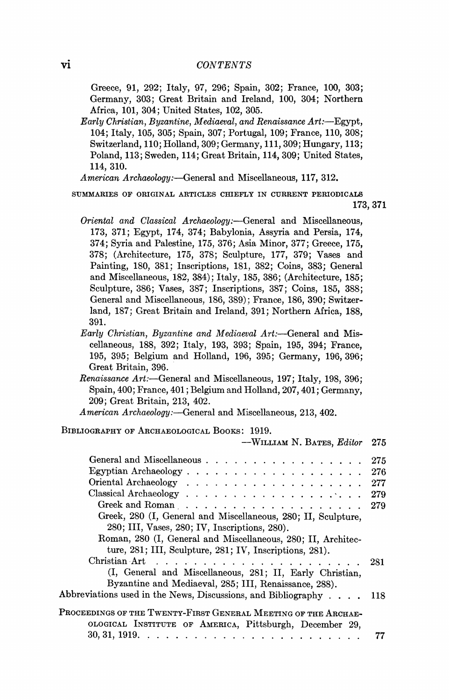**Greece, 91, 292; Italy, 97, 296; Spain, 302; France, 100, 303; Germany, 303; Great Britain and Ireland, 100, 304; Northern Africa, 101, 304; United States, 102, 305.** 

Early Christian, Byzantine, Mediaeval, and Renaissance Art:-Egypt, **104; Italy, 105, 305; Spain, 307; Portugal, 109; France, 110, 308; Switzerland, 110; Holland, 309; Germany, 111,309; Hungary, 113; Poland, 113; Sweden, 114; Great Britain, 114, 309; United States, 114, 310.** 

American Archaeology:—General and Miscellaneous, 117, 312.

**SUMMARIES OF ORIGINAL ARTICLES CHIEFLY IN CURRENT PERIODICALS 173, 371** 

- Oriental and Classical Archaeology:-General and Miscellaneous, **173, 371; Egypt, 174, 374; Babylonia, Assyria and Persia, 174, 374; Syria and Palestine, 175, 376; Asia Minor, 377; Greece, 175, 378; (Architecture, 175, 378; Sculpture, 177, 379; Vases and Painting, 180, 381; Inscriptions, 181, 382; Coins, 383; General and Miscellaneous, 182, 384); Italy, 185, 386; (Architecture, 185; Sculpture, 386; Vases, 387; Inscriptions, 387; Coins, 185, 388; General and Miscellaneous, 186, 389); France, 186, 390; Switzerland, 187; Great Britain and Ireland, 391; Northern Africa, 188, 391.**
- Early Christian, Byzantine and Mediaeval Art:-General and Mis**cellaneous, 188, 392; Italy, 193, 393; Spain, 195, 394; France, 195, 395; Belgium and Holland, 196, 395; Germany, 196, 396; Great Britain, 396.**

Renaissance Art:-General and Miscellaneous, 197; Italy, 198, 396; **Spain, 400; France, 401; Belgium and Holland, 207, 401; Germany, 209; Great Britain, 213, 402.** 

American Archaeology:—General and Miscellaneous, 213, 402.

#### **BIBLIOGRAPHY OF ARCHAEOLOGICAL BOOKS: 1919.**

| $-WILLIAM N. BATES, Editor$                                                                                               | 275 |
|---------------------------------------------------------------------------------------------------------------------------|-----|
| General and Miscellaneous                                                                                                 | 275 |
|                                                                                                                           | 276 |
|                                                                                                                           | 277 |
|                                                                                                                           | 279 |
|                                                                                                                           | 279 |
| Greek, 280 (I, General and Miscellaneous, 280; II, Sculpture,                                                             |     |
| 280; III, Vases, 280; IV, Inscriptions, 280).                                                                             |     |
| Roman, 280 (I, General and Miscellaneous, 280; II, Architec-                                                              |     |
| ture, 281; III, Sculpture, 281; IV, Inscriptions, 281).                                                                   |     |
|                                                                                                                           | 281 |
| (I, General and Miscellaneous, 281; II, Early Christian,                                                                  |     |
| Byzantine and Mediaeval, 285; III, Renaissance, 288).                                                                     |     |
| Abbreviations used in the News, Discussions, and Bibliography $\dots$ .                                                   | 118 |
| PROCEEDINGS OF THE TWENTY-FIRST GENERAL MEETING OF THE ARCHAE-<br>OLOGICAL INSTITUTE OF AMERICA, Pittsburgh, December 29, |     |
|                                                                                                                           |     |
|                                                                                                                           |     |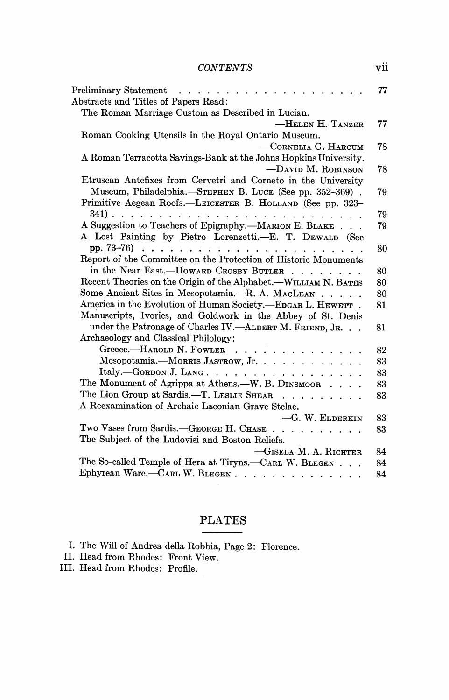### **CONTENTS vii**

| Preliminary Statement resources and resources are a series and resources are a series and resources are a seri | 77 |
|----------------------------------------------------------------------------------------------------------------|----|
| Abstracts and Titles of Papers Read:                                                                           |    |
| The Roman Marriage Custom as Described in Lucian.                                                              |    |
| -HELEN H. TANZER                                                                                               | 77 |
| Roman Cooking Utensils in the Royal Ontario Museum.                                                            |    |
| $-$ CORNELIA G. HARCUM                                                                                         | 78 |
| A Roman Terracotta Savings-Bank at the Johns Hopkins University.                                               |    |
| $-DAVID$ M. ROBINSON                                                                                           | 78 |
| Etruscan Antefixes from Cervetri and Corneto in the University                                                 |    |
| Museum, Philadelphia.—STEPHEN B. LUCE (See pp. 352-369).                                                       | 79 |
| Primitive Aegean Roofs.—LEICESTER B. HOLLAND (See pp. 323–                                                     |    |
|                                                                                                                | 79 |
| A Suggestion to Teachers of Epigraphy.--MARION E. BLAKE                                                        | 79 |
| A Lost Painting by Pietro Lorenzetti.—E. T. DEWALD (See                                                        |    |
|                                                                                                                | 80 |
| Report of the Committee on the Protection of Historic Monuments                                                |    |
| in the Near East.-HOWARD CROSBY BUTLER                                                                         | 80 |
| Recent Theories on the Origin of the Alphabet.—WILLIAM N. BATES                                                | 80 |
| Some Ancient Sites in Mesopotamia.—R. A. MACLEAN                                                               | 80 |
| America in the Evolution of Human Society.-EDGAR L. HEWETT.                                                    | 81 |
| Manuscripts, Ivories, and Goldwork in the Abbey of St. Denis                                                   |    |
| under the Patronage of Charles IV.-ALBERT M. FRIEND, JR.                                                       | 81 |
| Archaeology and Classical Philology:                                                                           |    |
| Greece.-HAROLD N. FOWLER                                                                                       | 82 |
| Mesopotamia.--MORRIS JASTROW, Jr.                                                                              | 83 |
| Italy.-GORDON J. LANG.                                                                                         | 83 |
| The Monument of Agrippa at Athens.-W. B. DINSMOOR                                                              | 83 |
| The Lion Group at Sardis.-T. LESLIE SHEAR                                                                      | 83 |
| A Reexamination of Archaic Laconian Grave Stelae.                                                              |    |
| -G. W. ELDERKIN                                                                                                | 83 |
| Two Vases from Sardis.-GEORGE H. CHASE                                                                         | 83 |
| The Subject of the Ludovisi and Boston Reliefs.                                                                |    |
| -GISELA M. A. RICHTER                                                                                          | 84 |
| The So-called Temple of Hera at Tiryns.-CARL W. BLEGEN                                                         | 84 |
| Ephyrean Ware.-CARL W. BLEGEN                                                                                  | 84 |

#### **PLATES**   $\frac{1}{2} \left( \frac{1}{2} \right) \left( \frac{1}{2} \right) \left( \frac{1}{2} \right) \left( \frac{1}{2} \right) \left( \frac{1}{2} \right) \left( \frac{1}{2} \right) \left( \frac{1}{2} \right) \left( \frac{1}{2} \right) \left( \frac{1}{2} \right) \left( \frac{1}{2} \right) \left( \frac{1}{2} \right) \left( \frac{1}{2} \right) \left( \frac{1}{2} \right) \left( \frac{1}{2} \right) \left( \frac{1}{2} \right) \left( \frac{1}{2} \right) \left( \frac$

|      |  |  |  | I. The Will of Andrea della Robbia, Page 2: Florence. |
|------|--|--|--|-------------------------------------------------------|
| -- - |  |  |  |                                                       |

**II. Head from Rhodes: Front View.** 

**III. Head from Rhodes: Profile.**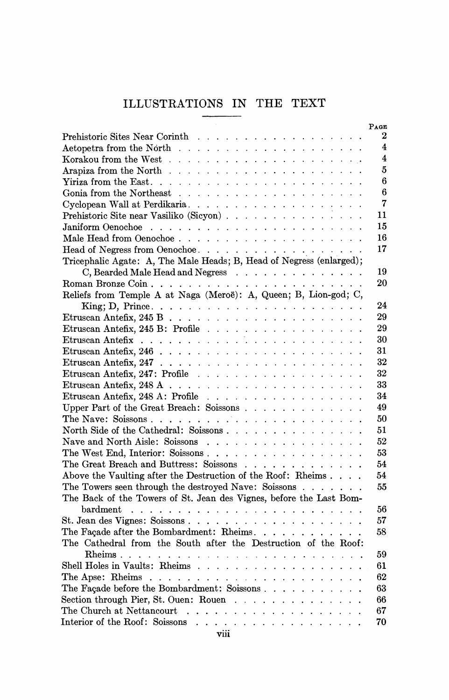## **ILLUSTRATIONS IN THE TEXT**

|                                                                                           | PAGE                    |
|-------------------------------------------------------------------------------------------|-------------------------|
|                                                                                           | 2                       |
|                                                                                           | $\overline{\mathbf{4}}$ |
|                                                                                           | $\overline{\mathbf{4}}$ |
|                                                                                           | 5                       |
|                                                                                           | 6                       |
|                                                                                           | 6                       |
| Cyclopean Wall at Perdikaria                                                              | 7                       |
|                                                                                           | 11                      |
|                                                                                           | 15                      |
|                                                                                           | 16                      |
| Head of Negress from Oenochoe.                                                            | 17                      |
| Tricephalic Agate: A, The Male Heads; B, Head of Negress (enlarged);                      |                         |
| C, Bearded Male Head and Negress                                                          | 19                      |
|                                                                                           | 20                      |
| Reliefs from Temple A at Naga (Meroë): A, Queen; B, Lion-god; C,                          |                         |
|                                                                                           | 24                      |
|                                                                                           | 29                      |
|                                                                                           | 29                      |
|                                                                                           | 30                      |
|                                                                                           | 31                      |
|                                                                                           | 32                      |
|                                                                                           | 32                      |
|                                                                                           | 33                      |
| Etruscan Antefix, $248$ A: Profile                                                        | 34                      |
| Upper Part of the Great Breach: Soissons                                                  | 49                      |
| The Nave: Soissons                                                                        | 50                      |
| North Side of the Cathedral: Soissons                                                     | 51                      |
| Nave and North Aisle: Soissons                                                            | 52                      |
| The West End, Interior: Soissons                                                          | 53                      |
| The Great Breach and Buttress: Soissons                                                   | 54                      |
| Above the Vaulting after the Destruction of the Roof: Rheims                              | 54                      |
| The Towers seen through the destroyed Nave: Soissons                                      | 55                      |
| The Back of the Towers of St. Jean des Vignes, before the Last Bom-                       |                         |
|                                                                                           | 56                      |
| St. Jean des Vignes: Soissons                                                             | 57                      |
| The Facade after the Bombardment: Rheims.                                                 | 58                      |
| The Cathedral from the South after the Destruction of the Roof:                           |                         |
|                                                                                           | 59                      |
| Shell Holes in Vaults: Rheims                                                             | 61                      |
|                                                                                           | 62                      |
|                                                                                           |                         |
| The Façade before the Bombardment: Soissons                                               | 63                      |
| Section through Pier, St. Ouen: Rouen $\ldots$ ,                                          | 66                      |
| The Church at Nettancourt $\ldots$ , $\ldots$ , $\ldots$ , $\ldots$ , $\ldots$ , $\ldots$ | 67                      |
|                                                                                           | 70                      |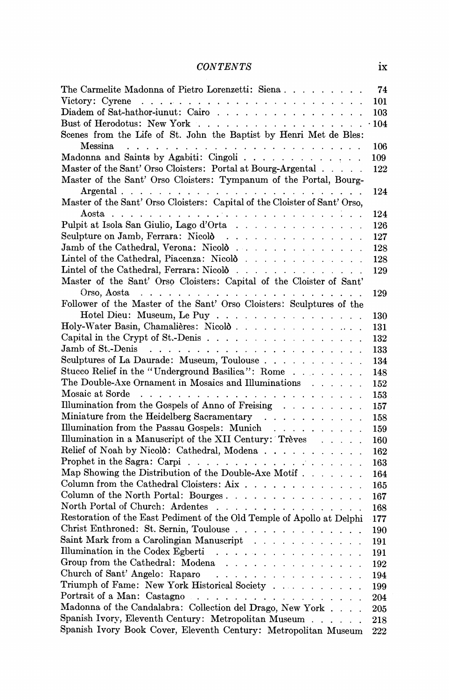## **CONTENTS ix**

| The Carmelite Madonna of Pietro Lorenzetti: Siena                                                                          | 74          |
|----------------------------------------------------------------------------------------------------------------------------|-------------|
|                                                                                                                            | 101         |
|                                                                                                                            | 103         |
|                                                                                                                            | $\cdot$ 104 |
| Scenes from the Life of St. John the Baptist by Henri Met de Bles:                                                         |             |
| Messina<br>and a series of the contract of the contract of the contract of the contract of the contract of the contract of | 106         |
| Madonna and Saints by Agabiti: Cingoli                                                                                     | 109         |
| Master of the Sant' Orso Cloisters: Portal at Bourg-Argental                                                               | 122         |
| Master of the Sant' Orso Cloisters: Tympanum of the Portal, Bourg-                                                         |             |
|                                                                                                                            | 124         |
| Master of the Sant' Orso Cloisters: Capital of the Cloister of Sant' Orso,                                                 |             |
|                                                                                                                            | 124         |
| Pulpit at Isola San Giulio, Lago d'Orta                                                                                    | 126         |
| Sculpture on Jamb, Ferrara: Nicold                                                                                         | 127         |
| Jamb of the Cathedral, Verona: Nicold                                                                                      | 128         |
| Lintel of the Cathedral, Piacenza: Nicolò                                                                                  | 128         |
| Lintel of the Cathedral, Ferrara: Nicolò                                                                                   | 129         |
| Master of the Sant' Orso Cloisters: Capital of the Cloister of Sant'                                                       |             |
| Orso, Aosta $\ldots \ldots \ldots \ldots \ldots \ldots \ldots \ldots \ldots$                                               | 129         |
| Follower of the Master of the Sant' Orso Cloisters: Sculptures of the                                                      |             |
| Hotel Dieu: Museum, Le Puy                                                                                                 | 130         |
| Holy-Water Basin, Chamalières: Nicolò                                                                                      | 131         |
|                                                                                                                            | 132         |
|                                                                                                                            |             |
| Sculptures of La Daurade: Museum, Toulouse                                                                                 | 133         |
| Stucco Relief in the "Underground Basilica": Rome                                                                          | 134         |
| The Double-Axe Ornament in Mosaics and Illuminations                                                                       | 148         |
|                                                                                                                            | 152         |
| Illumination from the Gospels of Anno of Freising                                                                          | 153         |
|                                                                                                                            | 157         |
| Miniature from the Heidelberg Sacramentary                                                                                 | 158         |
| Illumination from the Passau Gospels: Munich                                                                               | 159         |
| Illumination in a Manuscript of the XII Century: Trèves                                                                    | 160         |
| Relief of Noah by Nicold: Cathedral, Modena                                                                                | 162         |
|                                                                                                                            | 163         |
| Map Showing the Distribution of the Double-Axe Motif                                                                       | 164         |
| Column from the Cathedral Cloisters: Aix                                                                                   | 165         |
| Column of the North Portal: Bourges                                                                                        | 167         |
| North Portal of Church: Ardentes                                                                                           | 168         |
| Restoration of the East Pediment of the Old Temple of Apollo at Delphi                                                     | $-177$      |
| Christ Enthroned: St. Sernin, Toulouse                                                                                     | 190         |
| Saint Mark from a Carolingian Manuscript                                                                                   | 191         |
| Illumination in the Codex Egberti                                                                                          | 191         |
| Group from the Cathedral: Modena                                                                                           | 192         |
| Church of Sant' Angelo: Raparo                                                                                             | 194         |
| Triumph of Fame: New York Historical Society                                                                               | 199         |
| Portrait of a Man: Castagno                                                                                                | 204         |
| Madonna of the Candalabra: Collection del Drago, New York                                                                  | 205         |
| Spanish Ivory, Eleventh Century: Metropolitan Museum                                                                       | 218         |
| Spanish Ivory Book Cover, Eleventh Century: Metropolitan Museum                                                            | 222         |